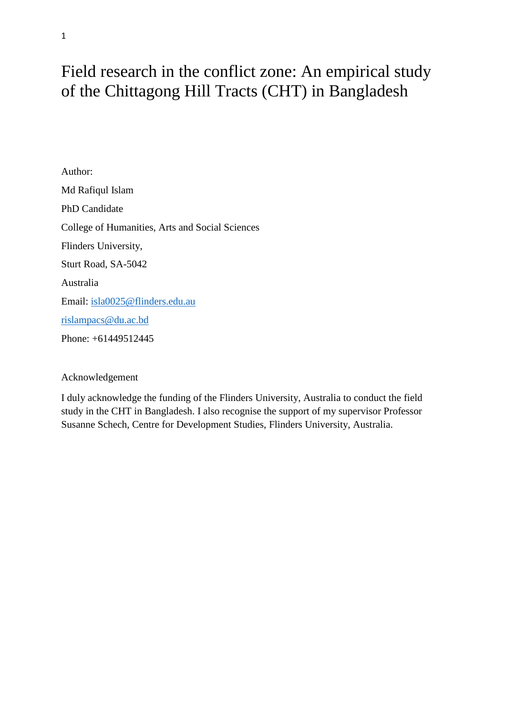# Field research in the conflict zone: An empirical study of the Chittagong Hill Tracts (CHT) in Bangladesh

Author: Md Rafiqul Islam PhD Candidate College of Humanities, Arts and Social Sciences Flinders University, Sturt Road, SA-5042 Australia Email: [isla0025@flinders.edu.au](mailto:isla0025@flinders.edu.au) [rislampacs@du.ac.bd](mailto:rislampacs@du.ac.bd) Phone: +61449512445

# Acknowledgement

I duly acknowledge the funding of the Flinders University, Australia to conduct the field study in the CHT in Bangladesh. I also recognise the support of my supervisor Professor Susanne Schech, Centre for Development Studies, Flinders University, Australia.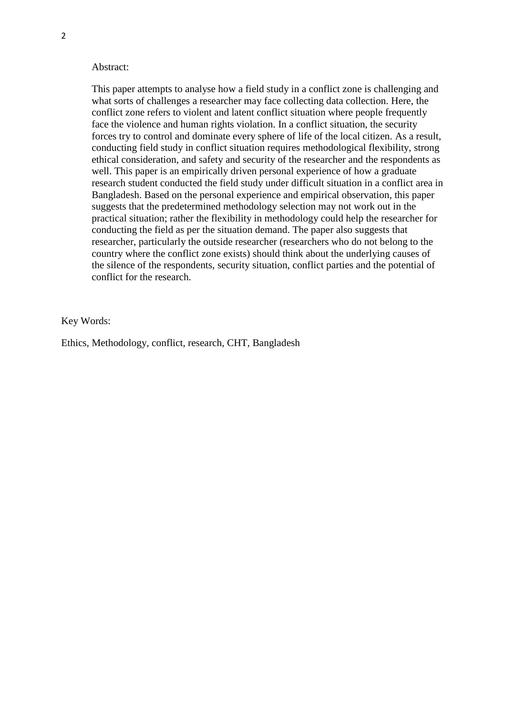#### Abstract:

This paper attempts to analyse how a field study in a conflict zone is challenging and what sorts of challenges a researcher may face collecting data collection. Here, the conflict zone refers to violent and latent conflict situation where people frequently face the violence and human rights violation. In a conflict situation, the security forces try to control and dominate every sphere of life of the local citizen. As a result, conducting field study in conflict situation requires methodological flexibility, strong ethical consideration, and safety and security of the researcher and the respondents as well. This paper is an empirically driven personal experience of how a graduate research student conducted the field study under difficult situation in a conflict area in Bangladesh. Based on the personal experience and empirical observation, this paper suggests that the predetermined methodology selection may not work out in the practical situation; rather the flexibility in methodology could help the researcher for conducting the field as per the situation demand. The paper also suggests that researcher, particularly the outside researcher (researchers who do not belong to the country where the conflict zone exists) should think about the underlying causes of the silence of the respondents, security situation, conflict parties and the potential of conflict for the research.

Key Words:

Ethics, Methodology, conflict, research, CHT, Bangladesh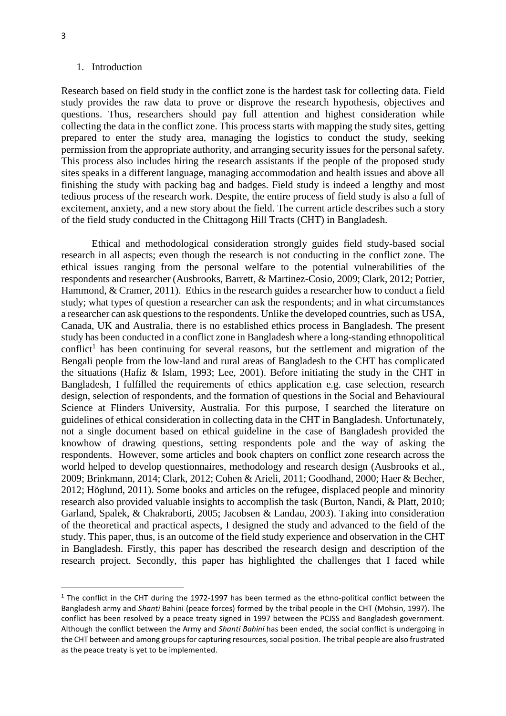#### 1. Introduction

Research based on field study in the conflict zone is the hardest task for collecting data. Field study provides the raw data to prove or disprove the research hypothesis, objectives and questions. Thus, researchers should pay full attention and highest consideration while collecting the data in the conflict zone. This process starts with mapping the study sites, getting prepared to enter the study area, managing the logistics to conduct the study, seeking permission from the appropriate authority, and arranging security issues for the personal safety. This process also includes hiring the research assistants if the people of the proposed study sites speaks in a different language, managing accommodation and health issues and above all finishing the study with packing bag and badges. Field study is indeed a lengthy and most tedious process of the research work. Despite, the entire process of field study is also a full of excitement, anxiety, and a new story about the field. The current article describes such a story of the field study conducted in the Chittagong Hill Tracts (CHT) in Bangladesh.

Ethical and methodological consideration strongly guides field study-based social research in all aspects; even though the research is not conducting in the conflict zone. The ethical issues ranging from the personal welfare to the potential vulnerabilities of the respondents and researcher (Ausbrooks, Barrett, & Martinez-Cosio, 2009; Clark, 2012; Pottier, Hammond, & Cramer, 2011). Ethics in the research guides a researcher how to conduct a field study; what types of question a researcher can ask the respondents; and in what circumstances a researcher can ask questions to the respondents. Unlike the developed countries, such as USA, Canada, UK and Australia, there is no established ethics process in Bangladesh. The present study has been conducted in a conflict zone in Bangladesh where a long-standing ethnopolitical conflict<sup>1</sup> has been continuing for several reasons, but the settlement and migration of the Bengali people from the low-land and rural areas of Bangladesh to the CHT has complicated the situations (Hafiz & Islam, 1993; Lee, 2001). Before initiating the study in the CHT in Bangladesh, I fulfilled the requirements of ethics application e.g. case selection, research design, selection of respondents, and the formation of questions in the Social and Behavioural Science at Flinders University, Australia. For this purpose, I searched the literature on guidelines of ethical consideration in collecting data in the CHT in Bangladesh. Unfortunately, not a single document based on ethical guideline in the case of Bangladesh provided the knowhow of drawing questions, setting respondents pole and the way of asking the respondents. However, some articles and book chapters on conflict zone research across the world helped to develop questionnaires, methodology and research design (Ausbrooks et al., 2009; Brinkmann, 2014; Clark, 2012; Cohen & Arieli, 2011; Goodhand, 2000; Haer & Becher, 2012; Höglund, 2011). Some books and articles on the refugee, displaced people and minority research also provided valuable insights to accomplish the task (Burton, Nandi, & Platt, 2010; Garland, Spalek, & Chakraborti, 2005; Jacobsen & Landau, 2003). Taking into consideration of the theoretical and practical aspects, I designed the study and advanced to the field of the study. This paper, thus, is an outcome of the field study experience and observation in the CHT in Bangladesh. Firstly, this paper has described the research design and description of the research project. Secondly, this paper has highlighted the challenges that I faced while

 $1$  The conflict in the CHT during the 1972-1997 has been termed as the ethno-political conflict between the Bangladesh army and *Shanti* Bahini (peace forces) formed by the tribal people in the CHT (Mohsin, 1997). The conflict has been resolved by a peace treaty signed in 1997 between the PCJSS and Bangladesh government. Although the conflict between the Army and *Shanti Bahini* has been ended, the social conflict is undergoing in the CHT between and among groups for capturing resources, social position. The tribal people are also frustrated as the peace treaty is yet to be implemented.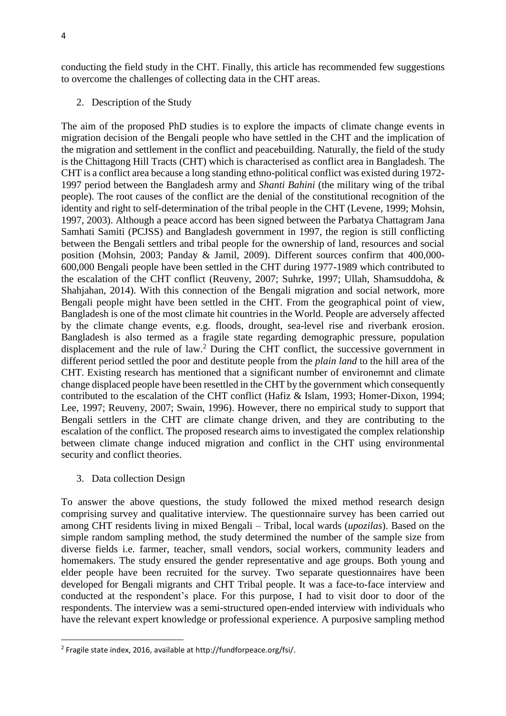conducting the field study in the CHT. Finally, this article has recommended few suggestions to overcome the challenges of collecting data in the CHT areas.

2. Description of the Study

The aim of the proposed PhD studies is to explore the impacts of climate change events in migration decision of the Bengali people who have settled in the CHT and the implication of the migration and settlement in the conflict and peacebuilding. Naturally, the field of the study is the Chittagong Hill Tracts (CHT) which is characterised as conflict area in Bangladesh. The CHT is a conflict area because a long standing ethno-political conflict was existed during 1972- 1997 period between the Bangladesh army and *Shanti Bahini* (the military wing of the tribal people). The root causes of the conflict are the denial of the constitutional recognition of the identity and right to self-determination of the tribal people in the CHT (Levene, 1999; Mohsin, 1997, 2003). Although a peace accord has been signed between the Parbatya Chattagram Jana Samhati Samiti (PCJSS) and Bangladesh government in 1997, the region is still conflicting between the Bengali settlers and tribal people for the ownership of land, resources and social position (Mohsin, 2003; Panday & Jamil, 2009). Different sources confirm that 400,000- 600,000 Bengali people have been settled in the CHT during 1977-1989 which contributed to the escalation of the CHT conflict (Reuveny, 2007; Suhrke, 1997; Ullah, Shamsuddoha, & Shahjahan, 2014). With this connection of the Bengali migration and social network, more Bengali people might have been settled in the CHT. From the geographical point of view, Bangladesh is one of the most climate hit countries in the World. People are adversely affected by the climate change events, e.g. floods, drought, sea-level rise and riverbank erosion. Bangladesh is also termed as a fragile state regarding demographic pressure, population displacement and the rule of law. <sup>2</sup> During the CHT conflict, the successive government in different period settled the poor and destitute people from the *plain land* to the hill area of the CHT. Existing research has mentioned that a significant number of environemnt and climate change displaced people have been resettled in the CHT by the government which consequently contributed to the escalation of the CHT conflict (Hafiz & Islam, 1993; Homer-Dixon, 1994; Lee, 1997; Reuveny, 2007; Swain, 1996). However, there no empirical study to support that Bengali settlers in the CHT are climate change driven, and they are contributing to the escalation of the conflict. The proposed research aims to investigated the complex relationship between climate change induced migration and conflict in the CHT using environmental security and conflict theories.

3. Data collection Design

**.** 

To answer the above questions, the study followed the mixed method research design comprising survey and qualitative interview. The questionnaire survey has been carried out among CHT residents living in mixed Bengali – Tribal, local wards (*upozilas*). Based on the simple random sampling method, the study determined the number of the sample size from diverse fields i.e. farmer, teacher, small vendors, social workers, community leaders and homemakers. The study ensured the gender representative and age groups. Both young and elder people have been recruited for the survey. Two separate questionnaires have been developed for Bengali migrants and CHT Tribal people. It was a face-to-face interview and conducted at the respondent's place. For this purpose, I had to visit door to door of the respondents. The interview was a semi-structured open-ended interview with individuals who have the relevant expert knowledge or professional experience. A purposive sampling method

<sup>&</sup>lt;sup>2</sup> Fragile state index, 2016, available at http://fundforpeace.org/fsi/.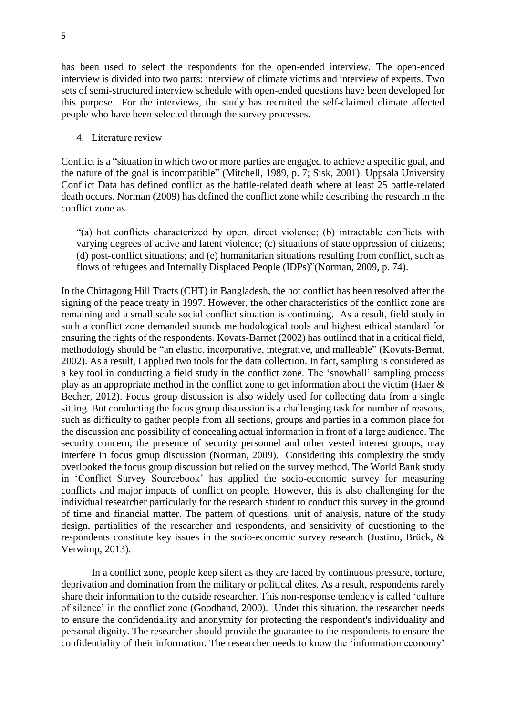has been used to select the respondents for the open-ended interview. The open-ended interview is divided into two parts: interview of climate victims and interview of experts. Two sets of semi-structured interview schedule with open-ended questions have been developed for this purpose. For the interviews, the study has recruited the self-claimed climate affected people who have been selected through the survey processes.

4. Literature review

Conflict is a "situation in which two or more parties are engaged to achieve a specific goal, and the nature of the goal is incompatible" (Mitchell, 1989, p. 7; Sisk, 2001). Uppsala University Conflict Data has defined conflict as the battle-related death where at least 25 battle-related death occurs. Norman (2009) has defined the conflict zone while describing the research in the conflict zone as

"(a) hot conflicts characterized by open, direct violence; (b) intractable conflicts with varying degrees of active and latent violence; (c) situations of state oppression of citizens; (d) post-conflict situations; and (e) humanitarian situations resulting from conflict, such as flows of refugees and Internally Displaced People (IDPs)"(Norman, 2009, p. 74).

In the Chittagong Hill Tracts (CHT) in Bangladesh, the hot conflict has been resolved after the signing of the peace treaty in 1997. However, the other characteristics of the conflict zone are remaining and a small scale social conflict situation is continuing. As a result, field study in such a conflict zone demanded sounds methodological tools and highest ethical standard for ensuring the rights of the respondents. Kovats-Barnet (2002) has outlined that in a critical field, methodology should be "an elastic, incorporative, integrative, and malleable" (Kovats‐Bernat, 2002). As a result, I applied two tools for the data collection. In fact, sampling is considered as a key tool in conducting a field study in the conflict zone. The 'snowball' sampling process play as an appropriate method in the conflict zone to get information about the victim (Haer & Becher, 2012). Focus group discussion is also widely used for collecting data from a single sitting. But conducting the focus group discussion is a challenging task for number of reasons, such as difficulty to gather people from all sections, groups and parties in a common place for the discussion and possibility of concealing actual information in front of a large audience. The security concern, the presence of security personnel and other vested interest groups, may interfere in focus group discussion (Norman, 2009). Considering this complexity the study overlooked the focus group discussion but relied on the survey method. The World Bank study in 'Conflict Survey Sourcebook' has applied the socio-economic survey for measuring conflicts and major impacts of conflict on people. However, this is also challenging for the individual researcher particularly for the research student to conduct this survey in the ground of time and financial matter. The pattern of questions, unit of analysis, nature of the study design, partialities of the researcher and respondents, and sensitivity of questioning to the respondents constitute key issues in the socio-economic survey research (Justino, Brück, & Verwimp, 2013).

In a conflict zone, people keep silent as they are faced by continuous pressure, torture, deprivation and domination from the military or political elites. As a result, respondents rarely share their information to the outside researcher. This non-response tendency is called 'culture of silence' in the conflict zone (Goodhand, 2000). Under this situation, the researcher needs to ensure the confidentiality and anonymity for protecting the respondent's individuality and personal dignity. The researcher should provide the guarantee to the respondents to ensure the confidentiality of their information. The researcher needs to know the 'information economy'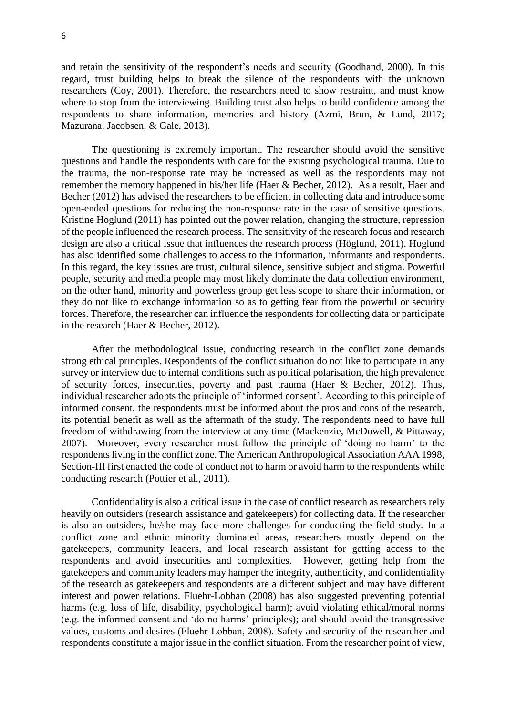and retain the sensitivity of the respondent's needs and security (Goodhand, 2000). In this regard, trust building helps to break the silence of the respondents with the unknown researchers (Coy, 2001). Therefore, the researchers need to show restraint, and must know where to stop from the interviewing. Building trust also helps to build confidence among the respondents to share information, memories and history (Azmi, Brun, & Lund, 2017; Mazurana, Jacobsen, & Gale, 2013).

The questioning is extremely important. The researcher should avoid the sensitive questions and handle the respondents with care for the existing psychological trauma. Due to the trauma, the non-response rate may be increased as well as the respondents may not remember the memory happened in his/her life (Haer & Becher, 2012). As a result, Haer and Becher (2012) has advised the researchers to be efficient in collecting data and introduce some open-ended questions for reducing the non-response rate in the case of sensitive questions. Kristine Hoglund (2011) has pointed out the power relation, changing the structure, repression of the people influenced the research process. The sensitivity of the research focus and research design are also a critical issue that influences the research process (Höglund, 2011). Hoglund has also identified some challenges to access to the information, informants and respondents. In this regard, the key issues are trust, cultural silence, sensitive subject and stigma. Powerful people, security and media people may most likely dominate the data collection environment, on the other hand, minority and powerless group get less scope to share their information, or they do not like to exchange information so as to getting fear from the powerful or security forces. Therefore, the researcher can influence the respondents for collecting data or participate in the research (Haer & Becher, 2012).

After the methodological issue, conducting research in the conflict zone demands strong ethical principles. Respondents of the conflict situation do not like to participate in any survey or interview due to internal conditions such as political polarisation, the high prevalence of security forces, insecurities, poverty and past trauma (Haer & Becher, 2012). Thus, individual researcher adopts the principle of 'informed consent'. According to this principle of informed consent, the respondents must be informed about the pros and cons of the research, its potential benefit as well as the aftermath of the study. The respondents need to have full freedom of withdrawing from the interview at any time (Mackenzie, McDowell, & Pittaway, 2007). Moreover, every researcher must follow the principle of 'doing no harm' to the respondents living in the conflict zone. The American Anthropological Association AAA 1998, Section-III first enacted the code of conduct not to harm or avoid harm to the respondents while conducting research (Pottier et al., 2011).

Confidentiality is also a critical issue in the case of conflict research as researchers rely heavily on outsiders (research assistance and gatekeepers) for collecting data. If the researcher is also an outsiders, he/she may face more challenges for conducting the field study. In a conflict zone and ethnic minority dominated areas, researchers mostly depend on the gatekeepers, community leaders, and local research assistant for getting access to the respondents and avoid insecurities and complexities. However, getting help from the gatekeepers and community leaders may hamper the integrity, authenticity, and confidentiality of the research as gatekeepers and respondents are a different subject and may have different interest and power relations. Fluehr-Lobban (2008) has also suggested preventing potential harms (e.g. loss of life, disability, psychological harm); avoid violating ethical/moral norms (e.g. the informed consent and 'do no harms' principles); and should avoid the transgressive values, customs and desires (Fluehr‐Lobban, 2008). Safety and security of the researcher and respondents constitute a major issue in the conflict situation. From the researcher point of view,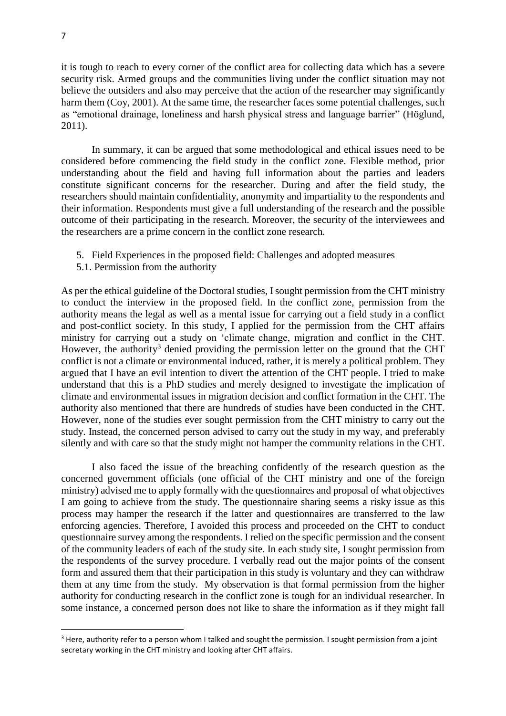it is tough to reach to every corner of the conflict area for collecting data which has a severe security risk. Armed groups and the communities living under the conflict situation may not believe the outsiders and also may perceive that the action of the researcher may significantly harm them (Coy, 2001). At the same time, the researcher faces some potential challenges, such as "emotional drainage, loneliness and harsh physical stress and language barrier" (Höglund, 2011).

In summary, it can be argued that some methodological and ethical issues need to be considered before commencing the field study in the conflict zone. Flexible method, prior understanding about the field and having full information about the parties and leaders constitute significant concerns for the researcher. During and after the field study, the researchers should maintain confidentiality, anonymity and impartiality to the respondents and their information. Respondents must give a full understanding of the research and the possible outcome of their participating in the research. Moreover, the security of the interviewees and the researchers are a prime concern in the conflict zone research.

- 5. Field Experiences in the proposed field: Challenges and adopted measures
- 5.1. Permission from the authority

As per the ethical guideline of the Doctoral studies, I sought permission from the CHT ministry to conduct the interview in the proposed field. In the conflict zone, permission from the authority means the legal as well as a mental issue for carrying out a field study in a conflict and post-conflict society. In this study, I applied for the permission from the CHT affairs ministry for carrying out a study on 'climate change, migration and conflict in the CHT. However, the authority<sup>3</sup> denied providing the permission letter on the ground that the CHT conflict is not a climate or environmental induced, rather, it is merely a political problem. They argued that I have an evil intention to divert the attention of the CHT people. I tried to make understand that this is a PhD studies and merely designed to investigate the implication of climate and environmental issues in migration decision and conflict formation in the CHT. The authority also mentioned that there are hundreds of studies have been conducted in the CHT. However, none of the studies ever sought permission from the CHT ministry to carry out the study. Instead, the concerned person advised to carry out the study in my way, and preferably silently and with care so that the study might not hamper the community relations in the CHT.

I also faced the issue of the breaching confidently of the research question as the concerned government officials (one official of the CHT ministry and one of the foreign ministry) advised me to apply formally with the questionnaires and proposal of what objectives I am going to achieve from the study. The questionnaire sharing seems a risky issue as this process may hamper the research if the latter and questionnaires are transferred to the law enforcing agencies. Therefore, I avoided this process and proceeded on the CHT to conduct questionnaire survey among the respondents. I relied on the specific permission and the consent of the community leaders of each of the study site. In each study site, I sought permission from the respondents of the survey procedure. I verbally read out the major points of the consent form and assured them that their participation in this study is voluntary and they can withdraw them at any time from the study. My observation is that formal permission from the higher authority for conducting research in the conflict zone is tough for an individual researcher. In some instance, a concerned person does not like to share the information as if they might fall

1

<sup>&</sup>lt;sup>3</sup> Here, authority refer to a person whom I talked and sought the permission. I sought permission from a joint secretary working in the CHT ministry and looking after CHT affairs.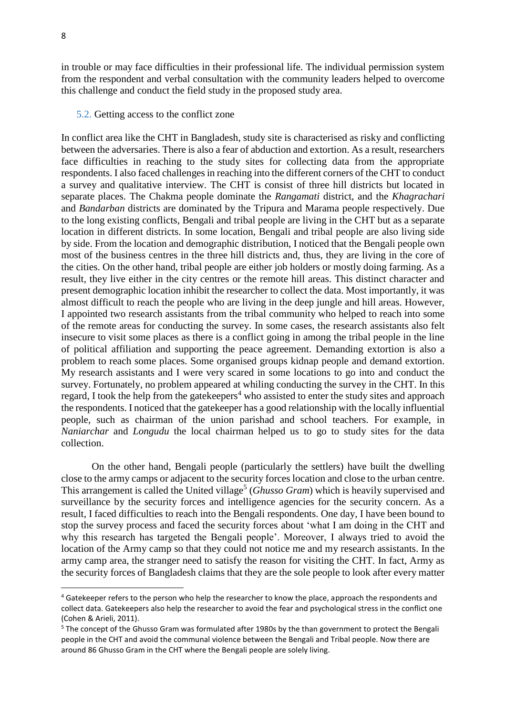in trouble or may face difficulties in their professional life. The individual permission system from the respondent and verbal consultation with the community leaders helped to overcome this challenge and conduct the field study in the proposed study area.

### 5.2. Getting access to the conflict zone

In conflict area like the CHT in Bangladesh, study site is characterised as risky and conflicting between the adversaries. There is also a fear of abduction and extortion. As a result, researchers face difficulties in reaching to the study sites for collecting data from the appropriate respondents. I also faced challenges in reaching into the different corners of the CHT to conduct a survey and qualitative interview. The CHT is consist of three hill districts but located in separate places. The Chakma people dominate the *Rangamati* district, and the *Khagrachari* and *Bandarban* districts are dominated by the Tripura and Marama people respectively. Due to the long existing conflicts, Bengali and tribal people are living in the CHT but as a separate location in different districts. In some location, Bengali and tribal people are also living side by side. From the location and demographic distribution, I noticed that the Bengali people own most of the business centres in the three hill districts and, thus, they are living in the core of the cities. On the other hand, tribal people are either job holders or mostly doing farming. As a result, they live either in the city centres or the remote hill areas. This distinct character and present demographic location inhibit the researcher to collect the data. Most importantly, it was almost difficult to reach the people who are living in the deep jungle and hill areas. However, I appointed two research assistants from the tribal community who helped to reach into some of the remote areas for conducting the survey. In some cases, the research assistants also felt insecure to visit some places as there is a conflict going in among the tribal people in the line of political affiliation and supporting the peace agreement. Demanding extortion is also a problem to reach some places. Some organised groups kidnap people and demand extortion. My research assistants and I were very scared in some locations to go into and conduct the survey. Fortunately, no problem appeared at whiling conducting the survey in the CHT. In this regard, I took the help from the gatekeepers<sup>4</sup> who assisted to enter the study sites and approach the respondents. I noticed that the gatekeeper has a good relationship with the locally influential people, such as chairman of the union parishad and school teachers. For example, in *Naniarchar* and *Longudu* the local chairman helped us to go to study sites for the data collection.

On the other hand, Bengali people (particularly the settlers) have built the dwelling close to the army camps or adjacent to the security forces location and close to the urban centre. This arrangement is called the United village<sup>5</sup> (*Ghusso Gram*) which is heavily supervised and surveillance by the security forces and intelligence agencies for the security concern. As a result, I faced difficulties to reach into the Bengali respondents. One day, I have been bound to stop the survey process and faced the security forces about 'what I am doing in the CHT and why this research has targeted the Bengali people'. Moreover, I always tried to avoid the location of the Army camp so that they could not notice me and my research assistants. In the army camp area, the stranger need to satisfy the reason for visiting the CHT. In fact, Army as the security forces of Bangladesh claims that they are the sole people to look after every matter

<sup>&</sup>lt;sup>4</sup> Gatekeeper refers to the person who help the researcher to know the place, approach the respondents and collect data. Gatekeepers also help the researcher to avoid the fear and psychological stress in the conflict one (Cohen & Arieli, 2011).

<sup>&</sup>lt;sup>5</sup> The concept of the Ghusso Gram was formulated after 1980s by the than government to protect the Bengali people in the CHT and avoid the communal violence between the Bengali and Tribal people. Now there are around 86 Ghusso Gram in the CHT where the Bengali people are solely living.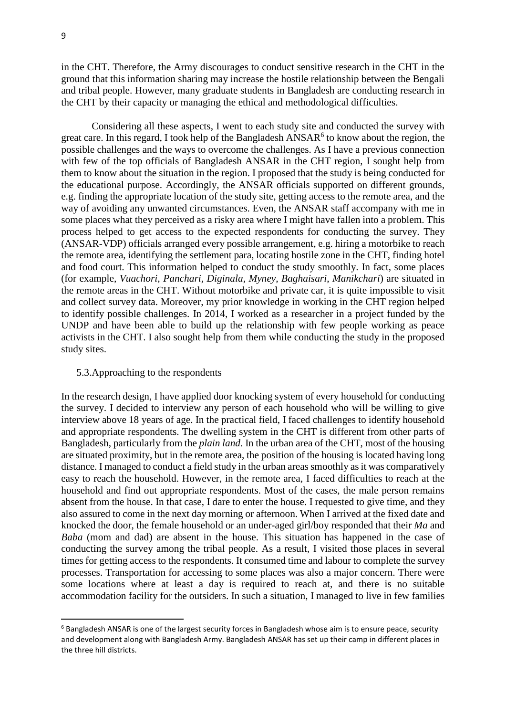in the CHT. Therefore, the Army discourages to conduct sensitive research in the CHT in the ground that this information sharing may increase the hostile relationship between the Bengali and tribal people. However, many graduate students in Bangladesh are conducting research in the CHT by their capacity or managing the ethical and methodological difficulties.

Considering all these aspects, I went to each study site and conducted the survey with great care. In this regard, I took help of the Bangladesh  $ANSAR<sup>6</sup>$  to know about the region, the possible challenges and the ways to overcome the challenges. As I have a previous connection with few of the top officials of Bangladesh ANSAR in the CHT region, I sought help from them to know about the situation in the region. I proposed that the study is being conducted for the educational purpose. Accordingly, the ANSAR officials supported on different grounds, e.g. finding the appropriate location of the study site, getting access to the remote area, and the way of avoiding any unwanted circumstances. Even, the ANSAR staff accompany with me in some places what they perceived as a risky area where I might have fallen into a problem. This process helped to get access to the expected respondents for conducting the survey. They (ANSAR-VDP) officials arranged every possible arrangement, e.g. hiring a motorbike to reach the remote area, identifying the settlement para, locating hostile zone in the CHT, finding hotel and food court. This information helped to conduct the study smoothly. In fact, some places (for example, *Vuachori*, *Panchari*, *Diginala*, *Myney*, *Baghaisari*, *Manikchari*) are situated in the remote areas in the CHT. Without motorbike and private car, it is quite impossible to visit and collect survey data. Moreover, my prior knowledge in working in the CHT region helped to identify possible challenges. In 2014, I worked as a researcher in a project funded by the UNDP and have been able to build up the relationship with few people working as peace activists in the CHT. I also sought help from them while conducting the study in the proposed study sites.

## 5.3.Approaching to the respondents

In the research design, I have applied door knocking system of every household for conducting the survey. I decided to interview any person of each household who will be willing to give interview above 18 years of age. In the practical field, I faced challenges to identify household and appropriate respondents. The dwelling system in the CHT is different from other parts of Bangladesh, particularly from the *plain land*. In the urban area of the CHT, most of the housing are situated proximity, but in the remote area, the position of the housing is located having long distance. I managed to conduct a field study in the urban areas smoothly as it was comparatively easy to reach the household. However, in the remote area, I faced difficulties to reach at the household and find out appropriate respondents. Most of the cases, the male person remains absent from the house. In that case, I dare to enter the house. I requested to give time, and they also assured to come in the next day morning or afternoon. When I arrived at the fixed date and knocked the door, the female household or an under-aged girl/boy responded that their *Ma* and *Baba* (mom and dad) are absent in the house. This situation has happened in the case of conducting the survey among the tribal people. As a result, I visited those places in several times for getting access to the respondents. It consumed time and labour to complete the survey processes. Transportation for accessing to some places was also a major concern. There were some locations where at least a day is required to reach at, and there is no suitable accommodation facility for the outsiders. In such a situation, I managed to live in few families

<sup>&</sup>lt;sup>6</sup> Bangladesh ANSAR is one of the largest security forces in Bangladesh whose aim is to ensure peace, security and development along with Bangladesh Army. Bangladesh ANSAR has set up their camp in different places in the three hill districts.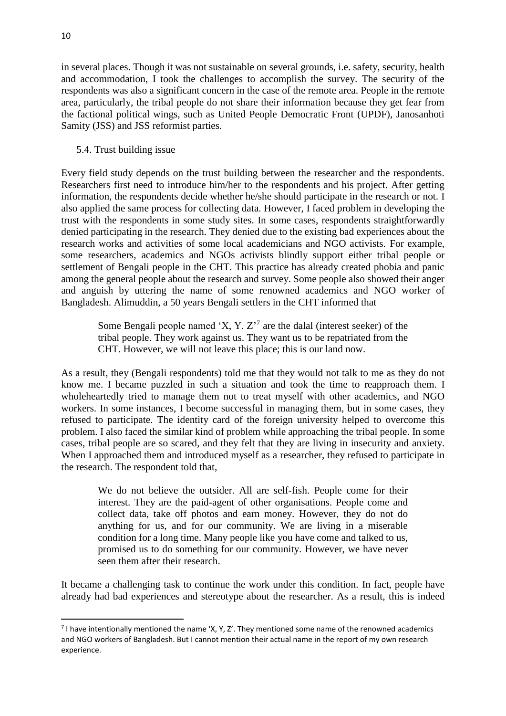in several places. Though it was not sustainable on several grounds, i.e. safety, security, health and accommodation, I took the challenges to accomplish the survey. The security of the respondents was also a significant concern in the case of the remote area. People in the remote area, particularly, the tribal people do not share their information because they get fear from the factional political wings, such as United People Democratic Front (UPDF), Janosanhoti Samity (JSS) and JSS reformist parties.

# 5.4. Trust building issue

Every field study depends on the trust building between the researcher and the respondents. Researchers first need to introduce him/her to the respondents and his project. After getting information, the respondents decide whether he/she should participate in the research or not. I also applied the same process for collecting data. However, I faced problem in developing the trust with the respondents in some study sites. In some cases, respondents straightforwardly denied participating in the research. They denied due to the existing bad experiences about the research works and activities of some local academicians and NGO activists. For example, some researchers, academics and NGOs activists blindly support either tribal people or settlement of Bengali people in the CHT. This practice has already created phobia and panic among the general people about the research and survey. Some people also showed their anger and anguish by uttering the name of some renowned academics and NGO worker of Bangladesh. Alimuddin, a 50 years Bengali settlers in the CHT informed that

Some Bengali people named 'X, Y.  $Z^7$  are the dalal (interest seeker) of the tribal people. They work against us. They want us to be repatriated from the CHT. However, we will not leave this place; this is our land now.

As a result, they (Bengali respondents) told me that they would not talk to me as they do not know me. I became puzzled in such a situation and took the time to reapproach them. I wholeheartedly tried to manage them not to treat myself with other academics, and NGO workers. In some instances, I become successful in managing them, but in some cases, they refused to participate. The identity card of the foreign university helped to overcome this problem. I also faced the similar kind of problem while approaching the tribal people. In some cases, tribal people are so scared, and they felt that they are living in insecurity and anxiety. When I approached them and introduced myself as a researcher, they refused to participate in the research. The respondent told that,

We do not believe the outsider. All are self-fish. People come for their interest. They are the paid-agent of other organisations. People come and collect data, take off photos and earn money. However, they do not do anything for us, and for our community. We are living in a miserable condition for a long time. Many people like you have come and talked to us, promised us to do something for our community. However, we have never seen them after their research.

It became a challenging task to continue the work under this condition. In fact, people have already had bad experiences and stereotype about the researcher. As a result, this is indeed

 $<sup>7</sup>$  I have intentionally mentioned the name 'X, Y, Z'. They mentioned some name of the renowned academics</sup> and NGO workers of Bangladesh. But I cannot mention their actual name in the report of my own research experience.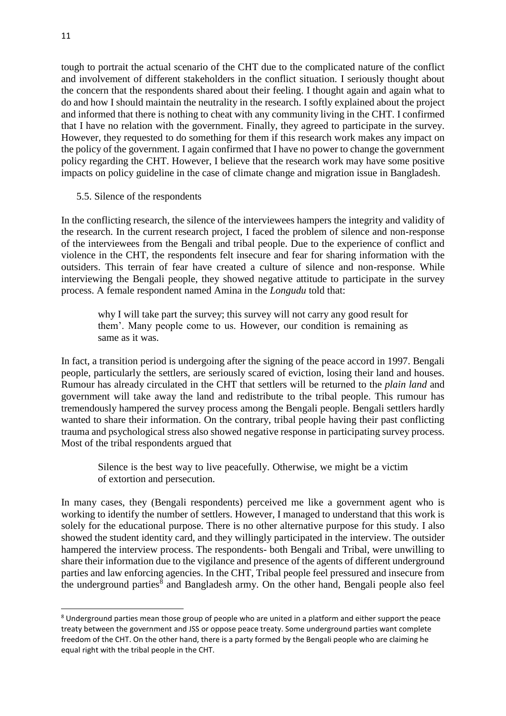tough to portrait the actual scenario of the CHT due to the complicated nature of the conflict and involvement of different stakeholders in the conflict situation. I seriously thought about the concern that the respondents shared about their feeling. I thought again and again what to do and how I should maintain the neutrality in the research. I softly explained about the project and informed that there is nothing to cheat with any community living in the CHT. I confirmed that I have no relation with the government. Finally, they agreed to participate in the survey. However, they requested to do something for them if this research work makes any impact on the policy of the government. I again confirmed that I have no power to change the government policy regarding the CHT. However, I believe that the research work may have some positive impacts on policy guideline in the case of climate change and migration issue in Bangladesh.

## 5.5. Silence of the respondents

In the conflicting research, the silence of the interviewees hampers the integrity and validity of the research. In the current research project, I faced the problem of silence and non-response of the interviewees from the Bengali and tribal people. Due to the experience of conflict and violence in the CHT, the respondents felt insecure and fear for sharing information with the outsiders. This terrain of fear have created a culture of silence and non-response. While interviewing the Bengali people, they showed negative attitude to participate in the survey process. A female respondent named Amina in the *Longudu* told that:

why I will take part the survey; this survey will not carry any good result for them'. Many people come to us. However, our condition is remaining as same as it was.

In fact, a transition period is undergoing after the signing of the peace accord in 1997. Bengali people, particularly the settlers, are seriously scared of eviction, losing their land and houses. Rumour has already circulated in the CHT that settlers will be returned to the *plain land* and government will take away the land and redistribute to the tribal people. This rumour has tremendously hampered the survey process among the Bengali people. Bengali settlers hardly wanted to share their information. On the contrary, tribal people having their past conflicting trauma and psychological stress also showed negative response in participating survey process. Most of the tribal respondents argued that

Silence is the best way to live peacefully. Otherwise, we might be a victim of extortion and persecution.

In many cases, they (Bengali respondents) perceived me like a government agent who is working to identify the number of settlers. However, I managed to understand that this work is solely for the educational purpose. There is no other alternative purpose for this study. I also showed the student identity card, and they willingly participated in the interview. The outsider hampered the interview process. The respondents- both Bengali and Tribal, were unwilling to share their information due to the vigilance and presence of the agents of different underground parties and law enforcing agencies. In the CHT, Tribal people feel pressured and insecure from the underground parties<sup>8</sup> and Bangladesh army. On the other hand, Bengali people also feel

1

<sup>&</sup>lt;sup>8</sup> Underground parties mean those group of people who are united in a platform and either support the peace treaty between the government and JSS or oppose peace treaty. Some underground parties want complete freedom of the CHT. On the other hand, there is a party formed by the Bengali people who are claiming he equal right with the tribal people in the CHT.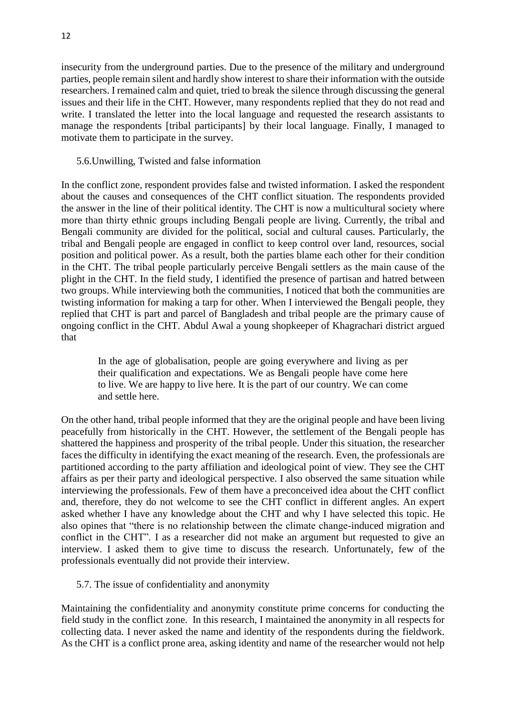insecurity from the underground parties. Due to the presence of the military and underground parties, people remain silent and hardly show interest to share their information with the outside researchers. I remained calm and quiet, tried to break the silence through discussing the general issues and their life in the CHT. However, many respondents replied that they do not read and write. I translated the letter into the local language and requested the research assistants to manage the respondents [tribal participants] by their local language. Finally, I managed to motivate them to participate in the survey.

# 5.6.Unwilling, Twisted and false information

In the conflict zone, respondent provides false and twisted information. I asked the respondent about the causes and consequences of the CHT conflict situation. The respondents provided the answer in the line of their political identity. The CHT is now a multicultural society where more than thirty ethnic groups including Bengali people are living. Currently, the tribal and Bengali community are divided for the political, social and cultural causes. Particularly, the tribal and Bengali people are engaged in conflict to keep control over land, resources, social position and political power. As a result, both the parties blame each other for their condition in the CHT. The tribal people particularly perceive Bengali settlers as the main cause of the plight in the CHT. In the field study, I identified the presence of partisan and hatred between two groups. While interviewing both the communities, I noticed that both the communities are twisting information for making a tarp for other. When I interviewed the Bengali people, they replied that CHT is part and parcel of Bangladesh and tribal people are the primary cause of ongoing conflict in the CHT. Abdul Awal a young shopkeeper of Khagrachari district argued that

In the age of globalisation, people are going everywhere and living as per their qualification and expectations. We as Bengali people have come here to live. We are happy to live here. It is the part of our country. We can come and settle here.

On the other hand, tribal people informed that they are the original people and have been living peacefully from historically in the CHT. However, the settlement of the Bengali people has shattered the happiness and prosperity of the tribal people. Under this situation, the researcher faces the difficulty in identifying the exact meaning of the research. Even, the professionals are partitioned according to the party affiliation and ideological point of view. They see the CHT affairs as per their party and ideological perspective. I also observed the same situation while interviewing the professionals. Few of them have a preconceived idea about the CHT conflict and, therefore, they do not welcome to see the CHT conflict in different angles. An expert asked whether I have any knowledge about the CHT and why I have selected this topic. He also opines that "there is no relationship between the climate change-induced migration and conflict in the CHT". I as a researcher did not make an argument but requested to give an interview. I asked them to give time to discuss the research. Unfortunately, few of the professionals eventually did not provide their interview.

## 5.7. The issue of confidentiality and anonymity

Maintaining the confidentiality and anonymity constitute prime concerns for conducting the field study in the conflict zone. In this research, I maintained the anonymity in all respects for collecting data. I never asked the name and identity of the respondents during the fieldwork. As the CHT is a conflict prone area, asking identity and name of the researcher would not help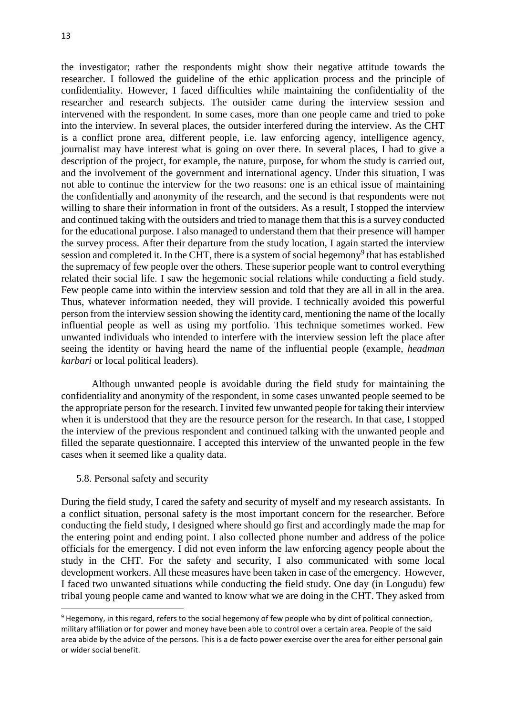the investigator; rather the respondents might show their negative attitude towards the researcher. I followed the guideline of the ethic application process and the principle of confidentiality. However, I faced difficulties while maintaining the confidentiality of the researcher and research subjects. The outsider came during the interview session and intervened with the respondent. In some cases, more than one people came and tried to poke into the interview. In several places, the outsider interfered during the interview. As the CHT is a conflict prone area, different people, i.e. law enforcing agency, intelligence agency, journalist may have interest what is going on over there. In several places, I had to give a description of the project, for example, the nature, purpose, for whom the study is carried out, and the involvement of the government and international agency. Under this situation, I was not able to continue the interview for the two reasons: one is an ethical issue of maintaining the confidentially and anonymity of the research, and the second is that respondents were not willing to share their information in front of the outsiders. As a result, I stopped the interview and continued taking with the outsiders and tried to manage them that this is a survey conducted for the educational purpose. I also managed to understand them that their presence will hamper the survey process. After their departure from the study location, I again started the interview session and completed it. In the CHT, there is a system of social hegemony<sup>9</sup> that has established the supremacy of few people over the others. These superior people want to control everything related their social life. I saw the hegemonic social relations while conducting a field study. Few people came into within the interview session and told that they are all in all in the area. Thus, whatever information needed, they will provide. I technically avoided this powerful person from the interview session showing the identity card, mentioning the name of the locally influential people as well as using my portfolio. This technique sometimes worked. Few unwanted individuals who intended to interfere with the interview session left the place after seeing the identity or having heard the name of the influential people (example, *headman karbari* or local political leaders).

Although unwanted people is avoidable during the field study for maintaining the confidentiality and anonymity of the respondent, in some cases unwanted people seemed to be the appropriate person for the research. I invited few unwanted people for taking their interview when it is understood that they are the resource person for the research. In that case, I stopped the interview of the previous respondent and continued talking with the unwanted people and filled the separate questionnaire. I accepted this interview of the unwanted people in the few cases when it seemed like a quality data.

## 5.8. Personal safety and security

1

During the field study, I cared the safety and security of myself and my research assistants. In a conflict situation, personal safety is the most important concern for the researcher. Before conducting the field study, I designed where should go first and accordingly made the map for the entering point and ending point. I also collected phone number and address of the police officials for the emergency. I did not even inform the law enforcing agency people about the study in the CHT. For the safety and security, I also communicated with some local development workers. All these measures have been taken in case of the emergency. However, I faced two unwanted situations while conducting the field study. One day (in Longudu) few tribal young people came and wanted to know what we are doing in the CHT. They asked from

<sup>&</sup>lt;sup>9</sup> Hegemony, in this regard, refers to the social hegemony of few people who by dint of political connection, military affiliation or for power and money have been able to control over a certain area. People of the said area abide by the advice of the persons. This is a de facto power exercise over the area for either personal gain or wider social benefit.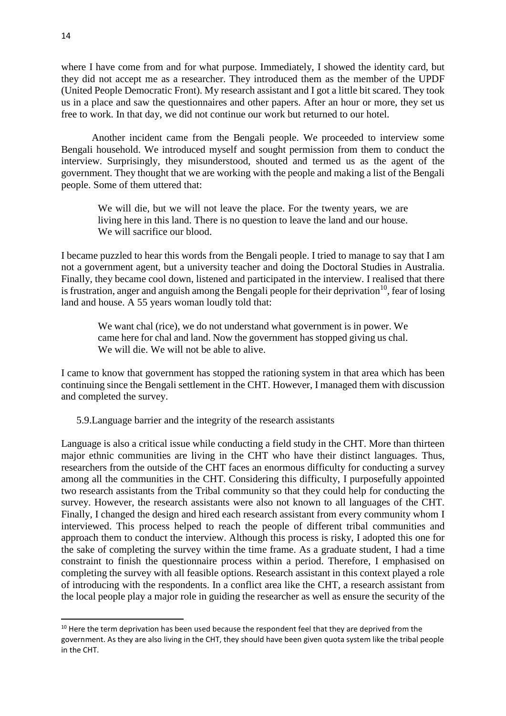where I have come from and for what purpose. Immediately, I showed the identity card, but they did not accept me as a researcher. They introduced them as the member of the UPDF (United People Democratic Front). My research assistant and I got a little bit scared. They took us in a place and saw the questionnaires and other papers. After an hour or more, they set us free to work. In that day, we did not continue our work but returned to our hotel.

Another incident came from the Bengali people. We proceeded to interview some Bengali household. We introduced myself and sought permission from them to conduct the interview. Surprisingly, they misunderstood, shouted and termed us as the agent of the government. They thought that we are working with the people and making a list of the Bengali people. Some of them uttered that:

We will die, but we will not leave the place. For the twenty years, we are living here in this land. There is no question to leave the land and our house. We will sacrifice our blood.

I became puzzled to hear this words from the Bengali people. I tried to manage to say that I am not a government agent, but a university teacher and doing the Doctoral Studies in Australia. Finally, they became cool down, listened and participated in the interview. I realised that there is frustration, anger and anguish among the Bengali people for their deprivation<sup>10</sup>, fear of losing land and house. A 55 years woman loudly told that:

We want chal (rice), we do not understand what government is in power. We came here for chal and land. Now the government has stopped giving us chal. We will die. We will not be able to alive.

I came to know that government has stopped the rationing system in that area which has been continuing since the Bengali settlement in the CHT. However, I managed them with discussion and completed the survey.

5.9.Language barrier and the integrity of the research assistants

Language is also a critical issue while conducting a field study in the CHT. More than thirteen major ethnic communities are living in the CHT who have their distinct languages. Thus, researchers from the outside of the CHT faces an enormous difficulty for conducting a survey among all the communities in the CHT. Considering this difficulty, I purposefully appointed two research assistants from the Tribal community so that they could help for conducting the survey. However, the research assistants were also not known to all languages of the CHT. Finally, I changed the design and hired each research assistant from every community whom I interviewed. This process helped to reach the people of different tribal communities and approach them to conduct the interview. Although this process is risky, I adopted this one for the sake of completing the survey within the time frame. As a graduate student, I had a time constraint to finish the questionnaire process within a period. Therefore, I emphasised on completing the survey with all feasible options. Research assistant in this context played a role of introducing with the respondents. In a conflict area like the CHT, a research assistant from the local people play a major role in guiding the researcher as well as ensure the security of the

<sup>&</sup>lt;sup>10</sup> Here the term deprivation has been used because the respondent feel that they are deprived from the government. As they are also living in the CHT, they should have been given quota system like the tribal people in the CHT.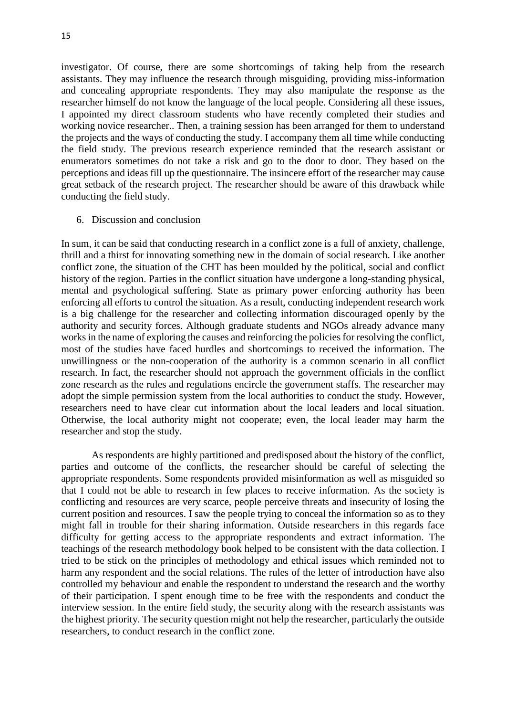investigator. Of course, there are some shortcomings of taking help from the research assistants. They may influence the research through misguiding, providing miss-information and concealing appropriate respondents. They may also manipulate the response as the researcher himself do not know the language of the local people. Considering all these issues, I appointed my direct classroom students who have recently completed their studies and working novice researcher.. Then, a training session has been arranged for them to understand the projects and the ways of conducting the study. I accompany them all time while conducting the field study. The previous research experience reminded that the research assistant or enumerators sometimes do not take a risk and go to the door to door. They based on the perceptions and ideas fill up the questionnaire. The insincere effort of the researcher may cause great setback of the research project. The researcher should be aware of this drawback while conducting the field study.

#### 6. Discussion and conclusion

In sum, it can be said that conducting research in a conflict zone is a full of anxiety, challenge, thrill and a thirst for innovating something new in the domain of social research. Like another conflict zone, the situation of the CHT has been moulded by the political, social and conflict history of the region. Parties in the conflict situation have undergone a long-standing physical, mental and psychological suffering. State as primary power enforcing authority has been enforcing all efforts to control the situation. As a result, conducting independent research work is a big challenge for the researcher and collecting information discouraged openly by the authority and security forces. Although graduate students and NGOs already advance many works in the name of exploring the causes and reinforcing the policies for resolving the conflict, most of the studies have faced hurdles and shortcomings to received the information. The unwillingness or the non-cooperation of the authority is a common scenario in all conflict research. In fact, the researcher should not approach the government officials in the conflict zone research as the rules and regulations encircle the government staffs. The researcher may adopt the simple permission system from the local authorities to conduct the study. However, researchers need to have clear cut information about the local leaders and local situation. Otherwise, the local authority might not cooperate; even, the local leader may harm the researcher and stop the study.

As respondents are highly partitioned and predisposed about the history of the conflict, parties and outcome of the conflicts, the researcher should be careful of selecting the appropriate respondents. Some respondents provided misinformation as well as misguided so that I could not be able to research in few places to receive information. As the society is conflicting and resources are very scarce, people perceive threats and insecurity of losing the current position and resources. I saw the people trying to conceal the information so as to they might fall in trouble for their sharing information. Outside researchers in this regards face difficulty for getting access to the appropriate respondents and extract information. The teachings of the research methodology book helped to be consistent with the data collection. I tried to be stick on the principles of methodology and ethical issues which reminded not to harm any respondent and the social relations. The rules of the letter of introduction have also controlled my behaviour and enable the respondent to understand the research and the worthy of their participation. I spent enough time to be free with the respondents and conduct the interview session. In the entire field study, the security along with the research assistants was the highest priority. The security question might not help the researcher, particularly the outside researchers, to conduct research in the conflict zone.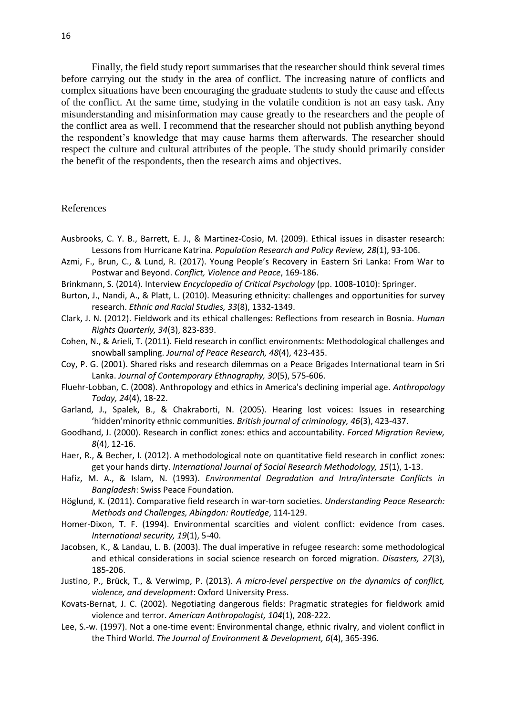Finally, the field study report summarises that the researcher should think several times before carrying out the study in the area of conflict. The increasing nature of conflicts and complex situations have been encouraging the graduate students to study the cause and effects of the conflict. At the same time, studying in the volatile condition is not an easy task. Any misunderstanding and misinformation may cause greatly to the researchers and the people of the conflict area as well. I recommend that the researcher should not publish anything beyond the respondent's knowledge that may cause harms them afterwards. The researcher should respect the culture and cultural attributes of the people. The study should primarily consider the benefit of the respondents, then the research aims and objectives.

#### References

- Ausbrooks, C. Y. B., Barrett, E. J., & Martinez-Cosio, M. (2009). Ethical issues in disaster research: Lessons from Hurricane Katrina. *Population Research and Policy Review, 28*(1), 93-106.
- Azmi, F., Brun, C., & Lund, R. (2017). Young People's Recovery in Eastern Sri Lanka: From War to Postwar and Beyond. *Conflict, Violence and Peace*, 169-186.
- Brinkmann, S. (2014). Interview *Encyclopedia of Critical Psychology* (pp. 1008-1010): Springer.
- Burton, J., Nandi, A., & Platt, L. (2010). Measuring ethnicity: challenges and opportunities for survey research. *Ethnic and Racial Studies, 33*(8), 1332-1349.
- Clark, J. N. (2012). Fieldwork and its ethical challenges: Reflections from research in Bosnia. *Human Rights Quarterly, 34*(3), 823-839.
- Cohen, N., & Arieli, T. (2011). Field research in conflict environments: Methodological challenges and snowball sampling. *Journal of Peace Research, 48*(4), 423-435.
- Coy, P. G. (2001). Shared risks and research dilemmas on a Peace Brigades International team in Sri Lanka. *Journal of Contemporary Ethnography, 30*(5), 575-606.
- Fluehr‐Lobban, C. (2008). Anthropology and ethics in America's declining imperial age. *Anthropology Today, 24*(4), 18-22.
- Garland, J., Spalek, B., & Chakraborti, N. (2005). Hearing lost voices: Issues in researching 'hidden'minority ethnic communities. *British journal of criminology, 46*(3), 423-437.
- Goodhand, J. (2000). Research in conflict zones: ethics and accountability. *Forced Migration Review, 8*(4), 12-16.
- Haer, R., & Becher, I. (2012). A methodological note on quantitative field research in conflict zones: get your hands dirty. *International Journal of Social Research Methodology, 15*(1), 1-13.
- Hafiz, M. A., & Islam, N. (1993). *Environmental Degradation and Intra/intersate Conflicts in Bangladesh*: Swiss Peace Foundation.
- Höglund, K. (2011). Comparative field research in war-torn societies. *Understanding Peace Research: Methods and Challenges, Abingdon: Routledge*, 114-129.
- Homer-Dixon, T. F. (1994). Environmental scarcities and violent conflict: evidence from cases. *International security, 19*(1), 5-40.
- Jacobsen, K., & Landau, L. B. (2003). The dual imperative in refugee research: some methodological and ethical considerations in social science research on forced migration. *Disasters, 27*(3), 185-206.
- Justino, P., Brück, T., & Verwimp, P. (2013). *A micro-level perspective on the dynamics of conflict, violence, and development*: Oxford University Press.
- Kovats‐Bernat, J. C. (2002). Negotiating dangerous fields: Pragmatic strategies for fieldwork amid violence and terror. *American Anthropologist, 104*(1), 208-222.
- Lee, S.-w. (1997). Not a one-time event: Environmental change, ethnic rivalry, and violent conflict in the Third World. *The Journal of Environment & Development, 6*(4), 365-396.